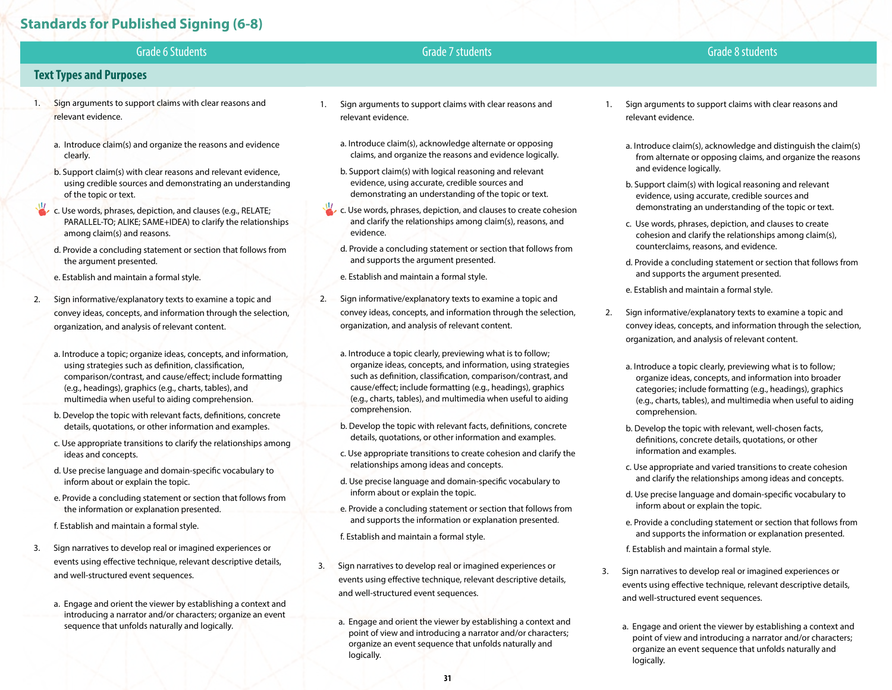# **Standards for Published Signing (6-8)**

| <b>Grade 6 Students</b>                                                                                                                                                                                                                                                                            | Grade 7 students                                                                                                                                                                                                                                                                                                          | Grade 8 students                                                                                                                                                                                                                                   |
|----------------------------------------------------------------------------------------------------------------------------------------------------------------------------------------------------------------------------------------------------------------------------------------------------|---------------------------------------------------------------------------------------------------------------------------------------------------------------------------------------------------------------------------------------------------------------------------------------------------------------------------|----------------------------------------------------------------------------------------------------------------------------------------------------------------------------------------------------------------------------------------------------|
| <b>Text Types and Purposes</b>                                                                                                                                                                                                                                                                     |                                                                                                                                                                                                                                                                                                                           |                                                                                                                                                                                                                                                    |
| Sign arguments to support claims with clear reasons and<br>-1.<br>relevant evidence.                                                                                                                                                                                                               | Sign arguments to support claims with clear reasons and<br>relevant evidence.                                                                                                                                                                                                                                             | Sign arguments to support claims with clear reasons and<br>relevant evidence.                                                                                                                                                                      |
| a. Introduce claim(s) and organize the reasons and evidence<br>clearly.                                                                                                                                                                                                                            | a. Introduce claim(s), acknowledge alternate or opposing<br>claims, and organize the reasons and evidence logically.                                                                                                                                                                                                      | a. Introduce claim(s), acknowledge and distinguish the claim(s)<br>from alternate or opposing claims, and organize the reasons                                                                                                                     |
| b. Support claim(s) with clear reasons and relevant evidence,<br>using credible sources and demonstrating an understanding<br>of the topic or text.                                                                                                                                                | b. Support claim(s) with logical reasoning and relevant<br>evidence, using accurate, credible sources and<br>demonstrating an understanding of the topic or text.                                                                                                                                                         | and evidence logically.<br>b. Support claim(s) with logical reasoning and relevant<br>evidence, using accurate, credible sources and                                                                                                               |
| c. Use words, phrases, depiction, and clauses (e.g., RELATE;<br>PARALLEL-TO; ALIKE; SAME+IDEA) to clarify the relationships<br>among claim(s) and reasons.                                                                                                                                         | c. Use words, phrases, depiction, and clauses to create cohesion<br>and clarify the relationships among claim(s), reasons, and<br>evidence.                                                                                                                                                                               | demonstrating an understanding of the topic or text.<br>c. Use words, phrases, depiction, and clauses to create<br>cohesion and clarify the relationships among claim(s),                                                                          |
| d. Provide a concluding statement or section that follows from<br>the argument presented.                                                                                                                                                                                                          | d. Provide a concluding statement or section that follows from<br>and supports the argument presented.                                                                                                                                                                                                                    | counterclaims, reasons, and evidence.<br>d. Provide a concluding statement or section that follows from<br>and supports the argument presented.                                                                                                    |
| e. Establish and maintain a formal style.<br>Sign informative/explanatory texts to examine a topic and<br>2.                                                                                                                                                                                       | e. Establish and maintain a formal style.<br>Sign informative/explanatory texts to examine a topic and<br>2.                                                                                                                                                                                                              | e. Establish and maintain a formal style.                                                                                                                                                                                                          |
| convey ideas, concepts, and information through the selection,<br>organization, and analysis of relevant content.                                                                                                                                                                                  | convey ideas, concepts, and information through the selection,<br>organization, and analysis of relevant content.                                                                                                                                                                                                         | Sign informative/explanatory texts to examine a topic and<br>2.<br>convey ideas, concepts, and information through the selection,<br>organization, and analysis of relevant content.                                                               |
| a. Introduce a topic; organize ideas, concepts, and information,<br>using strategies such as definition, classification,<br>comparison/contrast, and cause/effect; include formatting<br>(e.g., headings), graphics (e.g., charts, tables), and<br>multimedia when useful to aiding comprehension. | a. Introduce a topic clearly, previewing what is to follow;<br>organize ideas, concepts, and information, using strategies<br>such as definition, classification, comparison/contrast, and<br>cause/effect; include formatting (e.g., headings), graphics<br>(e.g., charts, tables), and multimedia when useful to aiding | a. Introduce a topic clearly, previewing what is to follow;<br>organize ideas, concepts, and information into broader<br>categories; include formatting (e.g., headings), graphics<br>(e.g., charts, tables), and multimedia when useful to aiding |

- b. Develop the topic with relevant facts, definitions, concrete details, quotations, or other information and examples.
- c. Use appropriate transitions to clarify the relationships among ideas and concepts.
- d. Use precise language and domain-specific vocabulary to inform about or explain the topic.
- e. Provide a concluding statement or section that follows from the information or explanation presented.
- f. Establish and maintain a formal style.
- 3. Sign narratives to develop real or imagined experiences or events using effective technique, relevant descriptive details, and well-structured event sequences.
	- a. Engage and orient the viewer by establishing a context and introducing a narrator and/or characters; organize an event sequence that unfolds naturally and logically.
- comprehension.
- b. Develop the topic with relevant facts, definitions, concrete details, quotations, or other information and examples.
- c. Use appropriate transitions to create cohesion and clarify the relationships among ideas and concepts.
- d. Use precise language and domain-specific vocabulary to inform about or explain the topic.
- e. Provide a concluding statement or section that follows from and supports the information or explanation presented.
- f. Establish and maintain a formal style.
- 3. Sign narratives to develop real or imagined experiences or events using effective technique, relevant descriptive details, and well-structured event sequences.
	- a. Engage and orient the viewer by establishing a context and point of view and introducing a narrator and/or characters; organize an event sequence that unfolds naturally and logically.
- comprehension.
- b. Develop the topic with relevant, well-chosen facts, definitions, concrete details, quotations, or other information and examples.
- c. Use appropriate and varied transitions to create cohesion and clarify the relationships among ideas and concepts.
- d. Use precise language and domain-specific vocabulary to inform about or explain the topic.
- e. Provide a concluding statement or section that follows from and supports the information or explanation presented.
- f. Establish and maintain a formal style.
- 3. Sign narratives to develop real or imagined experiences or events using effective technique, relevant descriptive details, and well-structured event sequences.
	- a. Engage and orient the viewer by establishing a context and point of view and introducing a narrator and/or characters; organize an event sequence that unfolds naturally and logically.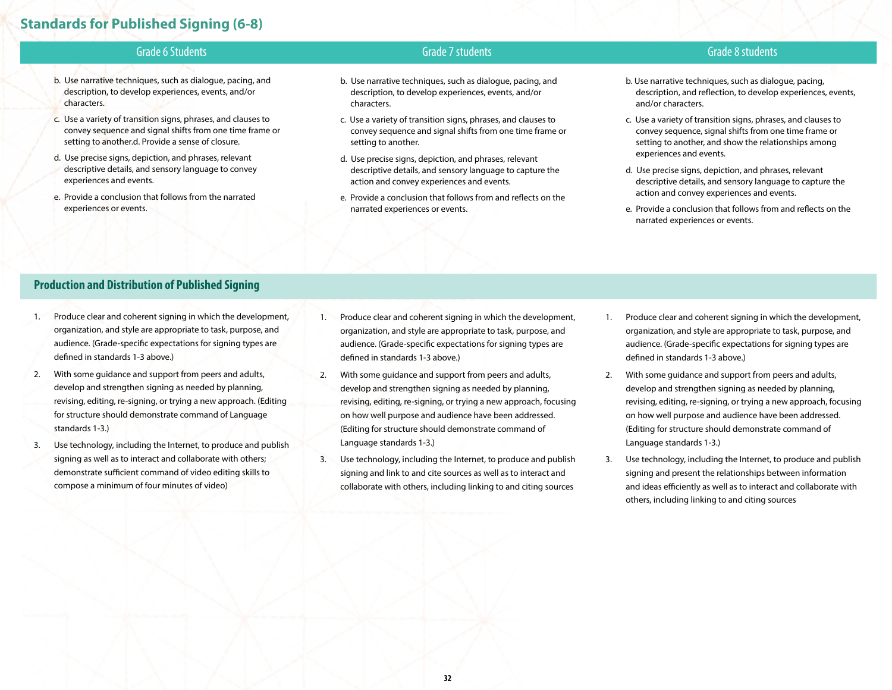## **Standards for Published Signing (6-8)**

- b. Use narrative techniques, such as dialogue, pacing, and description, to develop experiences, events, and/or characters.
- c. Use a variety of transition signs, phrases, and clauses to convey sequence and signal shifts from one time frame or setting to another.d. Provide a sense of closure.
- d. Use precise signs, depiction, and phrases, relevant descriptive details, and sensory language to convey experiences and events.
- e. Provide a conclusion that follows from the narrated experiences or events.

#### Grade 6 Students Grade 7 students Grade 8 students

- b. Use narrative techniques, such as dialogue, pacing, and description, to develop experiences, events, and/or characters.
- c. Use a variety of transition signs, phrases, and clauses to convey sequence and signal shifts from one time frame or setting to another.
- d. Use precise signs, depiction, and phrases, relevant descriptive details, and sensory language to capture the action and convey experiences and events.
- e. Provide a conclusion that follows from and reflects on the narrated experiences or events.
- b. Use narrative techniques, such as dialogue, pacing, description, and reflection, to develop experiences, events, and/or characters.
- c. Use a variety of transition signs, phrases, and clauses to convey sequence, signal shifts from one time frame or setting to another, and show the relationships among experiences and events.
- d. Use precise signs, depiction, and phrases, relevant descriptive details, and sensory language to capture the action and convey experiences and events.
- e. Provide a conclusion that follows from and reflects on the narrated experiences or events.

#### **Production and Distribution of Published Signing**

- 1. Produce clear and coherent signing in which the development, organization, and style are appropriate to task, purpose, and audience. (Grade-specific expectations for signing types are defined in standards 1-3 above.)
- 2. With some guidance and support from peers and adults, develop and strengthen signing as needed by planning, revising, editing, re-signing, or trying a new approach. (Editing for structure should demonstrate command of Language standards 1-3.)
- 3. Use technology, including the Internet, to produce and publish signing as well as to interact and collaborate with others; demonstrate sufficient command of video editing skills to compose a minimum of four minutes of video)
- 1. Produce clear and coherent signing in which the development, organization, and style are appropriate to task, purpose, and audience. (Grade-specific expectations for signing types are defined in standards 1-3 above.)
- 2. With some guidance and support from peers and adults, develop and strengthen signing as needed by planning, revising, editing, re-signing, or trying a new approach, focusing on how well purpose and audience have been addressed. (Editing for structure should demonstrate command of Language standards 1-3.)
- 3. Use technology, including the Internet, to produce and publish signing and link to and cite sources as well as to interact and collaborate with others, including linking to and citing sources
- 1. Produce clear and coherent signing in which the development, organization, and style are appropriate to task, purpose, and audience. (Grade-specific expectations for signing types are defined in standards 1-3 above.)
- 2. With some guidance and support from peers and adults, develop and strengthen signing as needed by planning, revising, editing, re-signing, or trying a new approach, focusing on how well purpose and audience have been addressed. (Editing for structure should demonstrate command of Language standards 1-3.)
- 3. Use technology, including the Internet, to produce and publish signing and present the relationships between information and ideas efficiently as well as to interact and collaborate with others, including linking to and citing sources